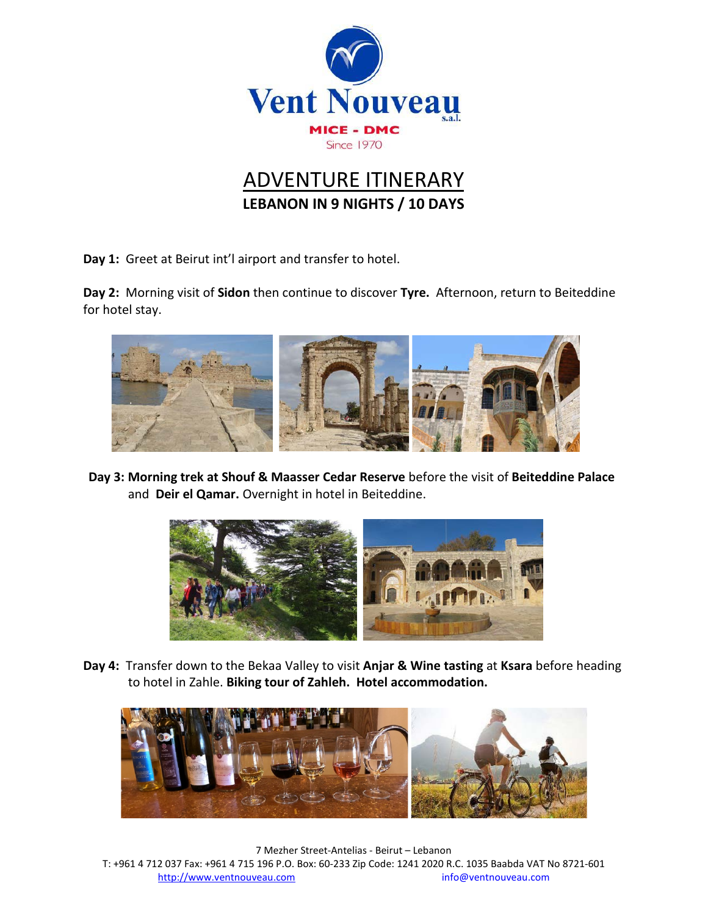

## ADVENTURE ITINERARY **LEBANON IN 9 NIGHTS / 10 DAYS**

**Day 1:** Greet at Beirut int'l airport and transfer to hotel.

**Day 2:** Morning visit of **Sidon** then continue to discover **Tyre.** Afternoon, return to Beiteddine for hotel stay.



**Day 3: Morning trek at Shouf & Maasser Cedar Reserve** before the visit of **Beiteddine Palace** and **Deir el Qamar.** Overnight in hotel in Beiteddine.



**Day 4:** Transfer down to the Bekaa Valley to visit **Anjar & Wine tasting** at **Ksara** before heading to hotel in Zahle. **Biking tour of Zahleh. Hotel accommodation.**



7 Mezher Street-Antelias - Beirut – Lebanon T: +961 4 712 037 Fax: +961 4 715 196 P.O. Box: 60-233 Zip Code: 1241 2020 R.C. 1035 Baabda VAT No 8721-601 [http://www.ventnouveau.com](http://www.ventnouveau.com/) info@ventnouveau.com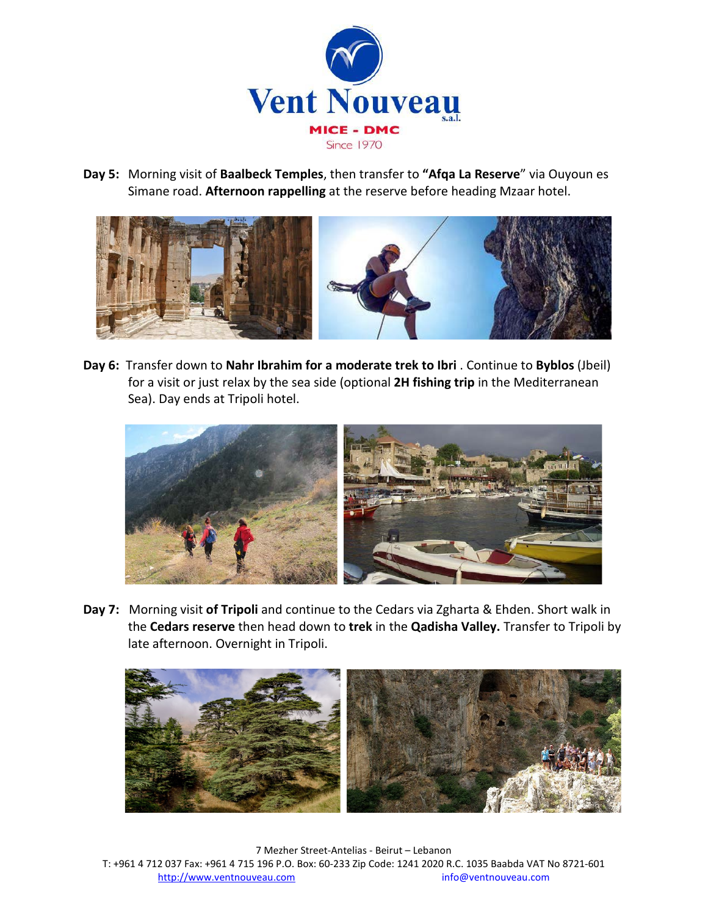

**Day 5:** Morning visit of **Baalbeck Temples**, then transfer to **"Afqa La Reserve**" via Ouyoun es Simane road. **Afternoon rappelling** at the reserve before heading Mzaar hotel.



**Day 6:** Transfer down to **Nahr Ibrahim for a moderate trek to Ibri** . Continue to **Byblos** (Jbeil) for a visit or just relax by the sea side (optional **2H fishing trip** in the Mediterranean Sea). Day ends at Tripoli hotel.



**Day 7:** Morning visit **of Tripoli** and continue to the Cedars via Zgharta & Ehden. Short walk in the **Cedars reserve** then head down to **trek** in the **Qadisha Valley.** Transfer to Tripoli by late afternoon. Overnight in Tripoli.



7 Mezher Street-Antelias - Beirut – Lebanon T: +961 4 712 037 Fax: +961 4 715 196 P.O. Box: 60-233 Zip Code: 1241 2020 R.C. 1035 Baabda VAT No 8721-601 [http://www.ventnouveau.com](http://www.ventnouveau.com/) info@ventnouveau.com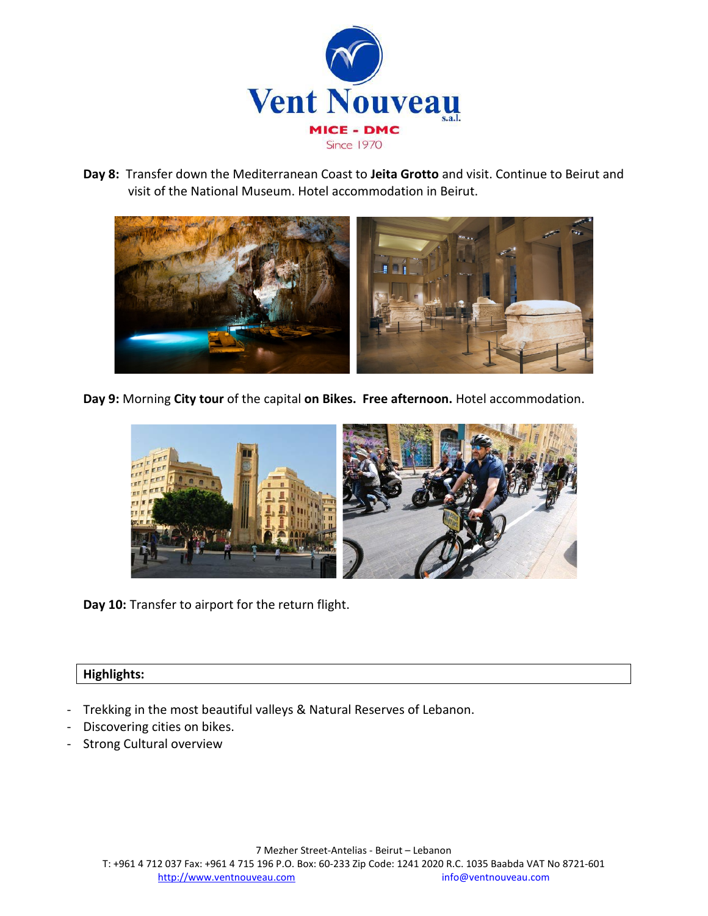

**Day 8:** Transfer down the Mediterranean Coast to **Jeita Grotto** and visit. Continue to Beirut and visit of the National Museum. Hotel accommodation in Beirut.



**Day 9:** Morning **City tour** of the capital **on Bikes. Free afternoon.** Hotel accommodation.



**Day 10:** Transfer to airport for the return flight.

## **Highlights:**

- Trekking in the most beautiful valleys & Natural Reserves of Lebanon.
- Discovering cities on bikes.
- Strong Cultural overview